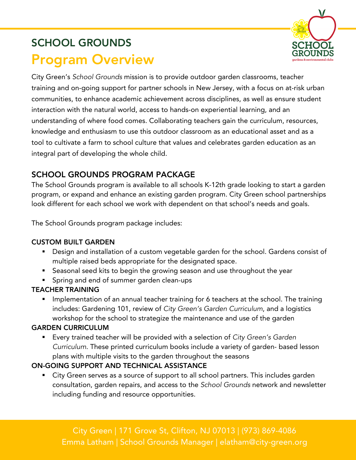# SCHOOL GROUNDS Program Overview



City Green's *School Grounds* mission is to provide outdoor garden classrooms, teacher training and on-going support for partner schools in New Jersey, with a focus on at-risk urban communities, to enhance academic achievement across disciplines, as well as ensure student interaction with the natural world, access to hands-on experiential learning, and an understanding of where food comes. Collaborating teachers gain the curriculum, resources, knowledge and enthusiasm to use this outdoor classroom as an educational asset and as a tool to cultivate a farm to school culture that values and celebrates garden education as an integral part of developing the whole child.

# SCHOOL GROUNDS PROGRAM PACKAGE

The School Grounds program is available to all schools K-12th grade looking to start a garden program, or expand and enhance an existing garden program. City Green school partnerships look different for each school we work with dependent on that school's needs and goals.

The School Grounds program package includes:

### CUSTOM BUILT GARDEN

- Design and installation of a custom vegetable garden for the school. Gardens consist of multiple raised beds appropriate for the designated space.
- Seasonal seed kits to begin the growing season and use throughout the year
- Spring and end of summer garden clean-ups

### TEACHER TRAINING

Implementation of an annual teacher training for 6 teachers at the school. The training includes: Gardening 101, review of *City Green's Garden Curriculum*, and a logistics workshop for the school to strategize the maintenance and use of the garden

### GARDEN CURRICULUM

§ Every trained teacher will be provided with a selection of *City Green's Garden Curriculum*. These printed curriculum books include a variety of garden- based lesson plans with multiple visits to the garden throughout the seasons

## ON-GOING SUPPORT AND TECHNICAL ASSISTANCE

■ City Green serves as a source of support to all school partners. This includes garden consultation, garden repairs, and access to the *School Grounds* network and newsletter including funding and resource opportunities.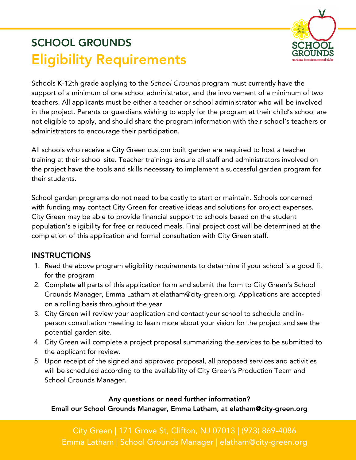# SCHOOL GROUNDS Eligibility Requirements



Schools K-12th grade applying to the *School Grounds* program must currently have the support of a minimum of one school administrator, and the involvement of a minimum of two teachers. All applicants must be either a teacher or school administrator who will be involved in the project. Parents or guardians wishing to apply for the program at their child's school are not eligible to apply, and should share the program information with their school's teachers or administrators to encourage their participation.

All schools who receive a City Green custom built garden are required to host a teacher training at their school site. Teacher trainings ensure all staff and administrators involved on the project have the tools and skills necessary to implement a successful garden program for their students.

School garden programs do not need to be costly to start or maintain. Schools concerned with funding may contact City Green for creative ideas and solutions for project expenses. City Green may be able to provide financial support to schools based on the student population's eligibility for free or reduced meals. Final project cost will be determined at the completion of this application and formal consultation with City Green staff.

## **INSTRUCTIONS**

- 1. Read the above program eligibility requirements to determine if your school is a good fit for the program
- 2. Complete all parts of this application form and submit the form to City Green's School Grounds Manager, Emma Latham at elatham@city-green.org. Applications are accepted on a rolling basis throughout the year
- 3. City Green will review your application and contact your school to schedule and inperson consultation meeting to learn more about your vision for the project and see the potential garden site.
- 4. City Green will complete a project proposal summarizing the services to be submitted to the applicant for review.
- 5. Upon receipt of the signed and approved proposal, all proposed services and activities will be scheduled according to the availability of City Green's Production Team and School Grounds Manager.

Any questions or need further information? Email our School Grounds Manager, Emma Latham, at elatham@city-green.org

City Green | 171 Grove St, Clifton, NJ 07013 | (973) 869-4086 Emma Latham | School Grounds Manager | elatham@city-green.org